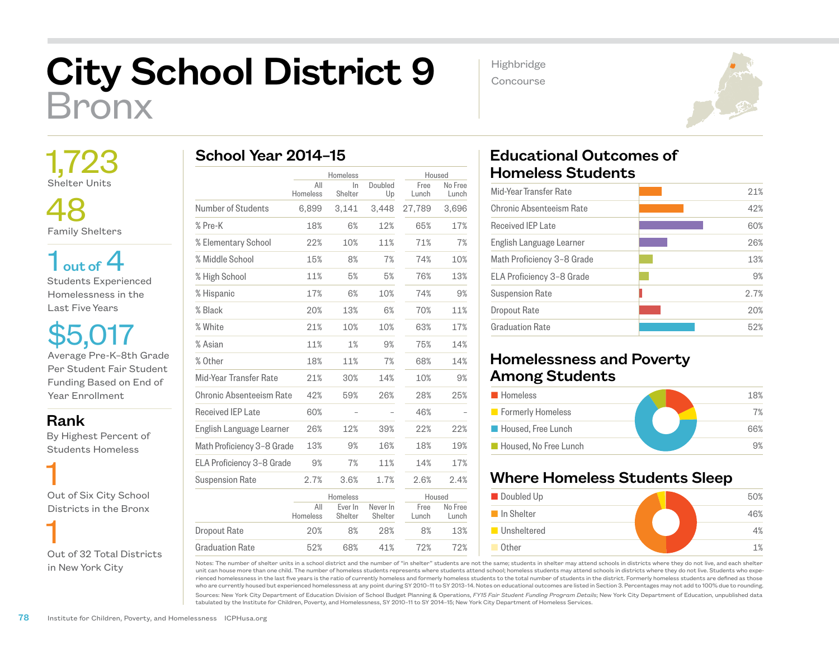## City School District 9 Bronx

 1,723 Shelter Units

 48 Family Shelters

 $1<sub>out of</sub> 4$ Students Experienced Homelessness in the Last Five Years

\$5,017 Average Pre-K–8th Grade Per Student Fair Student Funding Based on End of Year Enrollment

Rank

 By Highest Percent of Students Homeless

 1 Out of Six City School Districts in the Bronx

 1 Out of 32 Total Districts in New York City

| School Year 2014-15 |                 |                |               |               |                  |  |  |  |
|---------------------|-----------------|----------------|---------------|---------------|------------------|--|--|--|
|                     | Homeless        |                |               | Housed        |                  |  |  |  |
|                     | All<br>Homeless | In.<br>Shelter | Doubled<br>Up | Free<br>Lunch | No Free<br>Lunch |  |  |  |
| Number of Students  | 6.899           | 3.141          | 3.448         | 27,789        | 3.696            |  |  |  |
| % Pre-K             | 18%             | 6%             | 12%           | 65%           | 17%              |  |  |  |
| % Elementary School | 22%             | 10%            | 11%           | 71%           | 7%               |  |  |  |
| % Middle School     | 15%             | 8%             | 7%            | 74%           | 10%              |  |  |  |

| % Pre-K                    | 18%             | 6%                 | 12%                 | 65%           | 17%              |
|----------------------------|-----------------|--------------------|---------------------|---------------|------------------|
| % Elementary School        | 22%             | 10%                | 11%                 | 71%           | 7%               |
| % Middle School            | 15%             | 8%                 | 7%                  | 74%           | 10%              |
| % High School              | 11%             | 5%                 | 5%                  | 76%           | 13%              |
| % Hispanic                 | 17%             | 6%                 | 10%                 | 74%           | 9%               |
| % Black                    | 20%             | 13%                | 6%                  | 70%           | 11%              |
| % White                    | 21%             | 10%                | 10%                 | 63%           | 17%              |
| % Asian                    | 11%             | 1%                 | 9%                  | 75%           | 14%              |
| % Other                    | 18%             | 11%                | 7%                  | 68%           | 14%              |
| Mid-Year Transfer Rate     | 21%             | 30%                | 14%                 | 10%           | 9%               |
| Chronic Absenteeism Rate   | 42%             | 59%                | 26%                 | 28%           | 25%              |
| <b>Received IEP Late</b>   | 60%             |                    |                     | 46%           |                  |
| English Language Learner   | 26%             | 12%                | 39%                 | 22%           | 22%              |
| Math Proficiency 3-8 Grade | 13%             | 9%                 | 16%                 | 18%           | 19%              |
| ELA Proficiency 3-8 Grade  | 9%              | 7%                 | 11%                 | 14%           | 17%              |
| <b>Suspension Rate</b>     | 2.7%            | 3.6%               | 1.7%                | 2.6%          | 2.4%             |
|                            |                 | Homeless           |                     | Housed        |                  |
|                            | All<br>Homeless | Ever In<br>Shelter | Never In<br>Shelter | Free<br>Lunch | No Free<br>Lunch |
| Dropout Rate               | 20%             | 8%                 | 28%                 | 8%            | 13%              |
| <b>Graduation Rate</b>     | 52%             | 68%                | 41%                 | 72%           | 72%              |

Highbridge

Concourse



## Educational Outcomes of Homeless Students

| 21%  |
|------|
| 42%  |
| 60%  |
| 26%  |
| 13%  |
| 9%   |
| 2.7% |
| 20%  |
| 52%  |
|      |

## Homelessness and Poverty Among Students

| <b>Homeless</b>          | 18% |
|--------------------------|-----|
| <b>Formerly Homeless</b> | 7%  |
| Housed, Free Lunch       | 66% |
| Housed. No Free Lunch    | 9%  |

## Where Homeless Students Sleep



Notes: The number of shelter units in a school district and the number of "in shelter" students are not the same; students in shelter may attend schools in districts where they do not live, and each shelter unit can house more than one child. The number of homeless students represents where students attend school; homeless students may attend schools in districts where they do not live. Students who experienced homelessness in the last five years is the ratio of currently homeless and formerly homeless students to the total number of students in the district. Formerly homeless students are defined as those who are currently housed but experienced homelessness at any point during SY 2010–11 to SY 2013–14. Notes on educational outcomes are listed in Section 3. Percentages may not add to 100% due to rounding.

Sources: New York City Department of Education Division of School Budget Planning & Operations, *FY15 Fair Student Funding Program Details*; New York City Department of Education, unpublished data tabulated by the Institute for Children, Poverty, and Homelessness, SY 2010–11 to SY 2014–15; New York City Department of Homeless Services.